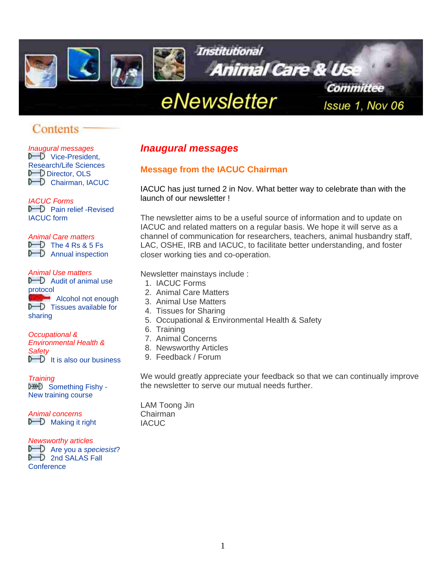<span id="page-0-0"></span>

# Contents

*Inaugural messages*<br> *Inaugural messages*<br>
Research/Life Sciences<br> **Messages Messages** from the LACLL Research/Life Sciences<br> **D** [Director, OLS](#page-2-0)<br> **D** Chairman, IACUC

**P** Pain relief -Revised<br>IACUC form

#### *Animal Care matters*

 $D$  The 4 Rs & 5 Fs  $\triangleright$  Annual inspection

#### *Animal Use matters*

 $\mathbf{D}$  Audit of animal use [protocol](#page-4-0) Alcohol not enough  $\mathbb{D}$  Tissues available for

[sharing](#page-5-0) 

#### *Occupational &*

*Environmental Health & Safety*  $\mathbb{D}$  [It is also our business](#page-5-0)

*Training*

DED Something Fishy -[New training course](#page-6-0)

*Animal concerns*   $\n **D**$  [Making it right](#page-6-0)

#### *Newsworthy articles*

**D** [Are you a](#page-7-0) *speciesist*?  $D$  2nd SALAS Fall **Conference** 

IACUC has just turned 2 in Nov. What better way to celebrate than with the launch of our newsletter ! *IACUC Forms*

> The newsletter aims to be a useful source of information and to update on IACUC and related matters on a regular basis. We hope it will serve as a channel of communication for researchers, teachers, animal husbandry staff, LAC, OSHE, IRB and IACUC, to facilitate better understanding, and foster closer working ties and co-operation.

Newsletter mainstays include :

- 1. IACUC Forms
- 2. Animal Care Matters
- 3. Animal Use Matters
- 4. Tissues for Sharing
- 5. Occupational & Environmental Health & Safety
- 6. Training
- 7. Animal Concerns
- 8. Newsworthy Articles
- 9. Feedback / Forum

We would greatly appreciate your feedback so that we can continually improve the newsletter to serve our mutual needs further.

LAM Toong Jin Chairman IACUC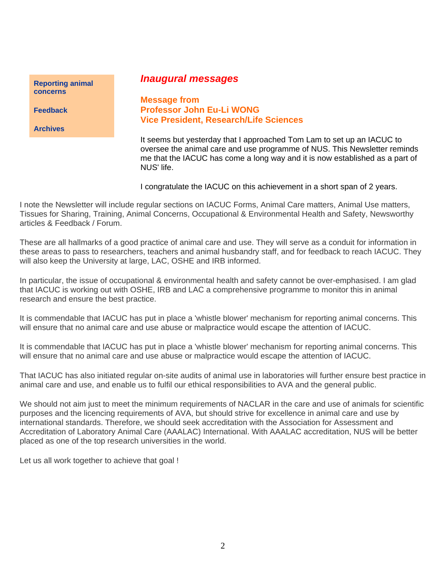**[concerns](http://www.nus.edu.sg/iacuc/pages/reporting_form.html)** 

**[Feedback](mailto:olsnmya@nus.edu.sg)** 

**Archives**

# <span id="page-1-0"></span>*Inaugural messages* **[Reporting animal](http://www.nus.edu.sg/iacuc/pages/reporting_form.html)**

**Message from Professor John Eu-Li WONG Vice President, Research/Life Sciences** 

It seems but yesterday that I approached Tom Lam to set up an IACUC to oversee the animal care and use programme of NUS. This Newsletter reminds me that the IACUC has come a long way and it is now established as a part of NUS' life.

I congratulate the IACUC on this achievement in a short span of 2 years.

I note the Newsletter will include regular sections on IACUC Forms, Animal Care matters, Animal Use matters, Tissues for Sharing, Training, Animal Concerns, Occupational & Environmental Health and Safety, Newsworthy articles & Feedback / Forum.

These are all hallmarks of a good practice of animal care and use. They will serve as a conduit for information in these areas to pass to researchers, teachers and animal husbandry staff, and for feedback to reach IACUC. They will also keep the University at large, LAC, OSHE and IRB informed.

In particular, the issue of occupational & environmental health and safety cannot be over-emphasised. I am glad that IACUC is working out with OSHE, IRB and LAC a comprehensive programme to monitor this in animal research and ensure the best practice.

It is commendable that IACUC has put in place a 'whistle blower' mechanism for reporting animal concerns. This will ensure that no animal care and use abuse or malpractice would escape the attention of IACUC.

It is commendable that IACUC has put in place a 'whistle blower' mechanism for reporting animal concerns. This will ensure that no animal care and use abuse or malpractice would escape the attention of IACUC.

That IACUC has also initiated regular on-site audits of animal use in laboratories will further ensure best practice in animal care and use, and enable us to fulfil our ethical responsibilities to AVA and the general public.

We should not aim just to meet the minimum requirements of NACLAR in the care and use of animals for scientific purposes and the licencing requirements of AVA, but should strive for excellence in animal care and use by international standards. Therefore, we should seek accreditation with the Association for Assessment and Accreditation of Laboratory Animal Care (AAALAC) International. With AAALAC accreditation, NUS will be better placed as one of the top research universities in the world.

Let us all work together to achieve that goal !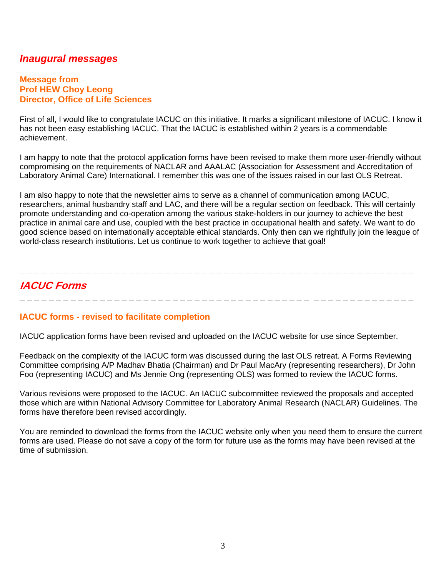# <span id="page-2-0"></span>*Inaugural messages*

#### **Message from Prof HEW Choy Leong Director, Office of Life Sciences**

First of all, I would like to congratulate IACUC on this initiative. It marks a significant milestone of IACUC. I know it has not been easy establishing IACUC. That the IACUC is established within 2 years is a commendable achievement.

I am happy to note that the protocol application forms have been revised to make them more user-friendly without compromising on the requirements of NACLAR and AAALAC (Association for Assessment and Accreditation of Laboratory Animal Care) International. I remember this was one of the issues raised in our last OLS Retreat.

I am also happy to note that the newsletter aims to serve as a channel of communication among IACUC, researchers, animal husbandry staff and LAC, and there will be a regular section on feedback. This will certainly promote understanding and co-operation among the various stake-holders in our journey to achieve the best practice in animal care and use, coupled with the best practice in occupational health and safety. We want to do good science based on internationally acceptable ethical standards. Only then can we rightfully join the league of world-class research institutions. Let us continue to work together to achieve that goal!

# **IACUC Forms**

**\_ \_ \_ \_ \_ \_ \_ \_ \_ \_ \_ \_ \_ \_ \_ \_ \_ \_ \_ \_ \_ \_ \_ \_ \_ \_ \_ \_ \_ \_ \_ \_ \_ \_ \_ \_ \_ \_ \_ \_ \_ \_ \_ \_ \_ \_ \_ \_ \_ \_ \_ \_ \_ \_**

**\_ \_ \_ \_ \_ \_ \_ \_ \_ \_ \_ \_ \_ \_ \_ \_ \_ \_ \_ \_ \_ \_ \_ \_ \_ \_ \_ \_ \_ \_ \_ \_ \_ \_ \_ \_ \_ \_ \_ \_ \_ \_ \_ \_ \_ \_ \_ \_ \_ \_ \_ \_ \_ \_** 

### **IACUC forms - revised to facilitate completion**

IACUC application forms have been revised and uploaded on the IACUC website for use since September.

Feedback on the complexity of the IACUC form was discussed during the last OLS retreat. A Forms Reviewing Committee comprising A/P Madhav Bhatia (Chairman) and Dr Paul MacAry (representing researchers), Dr John Foo (representing IACUC) and Ms Jennie Ong (representing OLS) was formed to review the IACUC forms.

Various revisions were proposed to the IACUC. An IACUC subcommittee reviewed the proposals and accepted those which are within National Advisory Committee for Laboratory Animal Research (NACLAR) Guidelines. The forms have therefore been revised accordingly.

You are reminded to download the forms from the IACUC website only when you need them to ensure the current forms are used. Please do not save a copy of the form for future use as the forms may have been revised at the time of submission.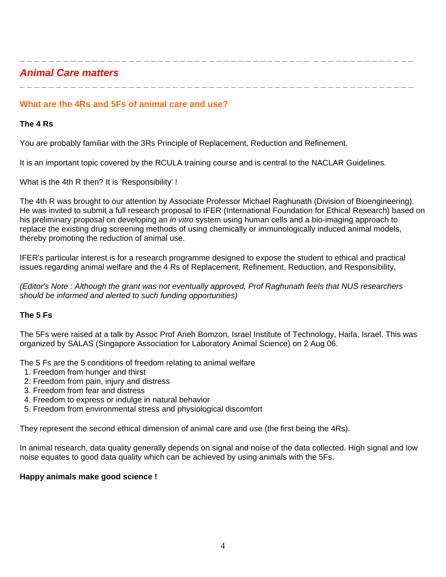<span id="page-3-0"></span>*Animal Care matters* 

# **What are the 4Rs and 5Fs of animal care and use?**

### **The 4 Rs**

You are probably familiar with the 3Rs Principle of Replacement, Reduction and Refinement.

It is an important topic covered by the RCULA training course and is central to the NACLAR Guidelines.

What is the 4th R then? It is 'Responsibility' !

The 4th R was brought to our attention by Associate Professor Michael Raghunath (Division of Bioengineering). He was invited to submit a full research proposal to IFER (International Foundation for Ethical Research) based on his preliminary proposal on developing an *in vitro* system using human cells and a bio-imaging approach to replace the existing drug screening methods of using chemically or immunologically induced animal models, thereby promoting the reduction of animal use.

**\_ \_ \_ \_ \_ \_ \_ \_ \_ \_ \_ \_ \_ \_ \_ \_ \_ \_ \_ \_ \_ \_ \_ \_ \_ \_ \_ \_ \_ \_ \_ \_ \_ \_ \_ \_ \_ \_ \_ \_ \_ \_ \_ \_ \_ \_ \_ \_ \_ \_ \_ \_ \_ \_**

**\_ \_ \_ \_ \_ \_ \_ \_ \_ \_ \_ \_ \_ \_ \_ \_ \_ \_ \_ \_ \_ \_ \_ \_ \_ \_ \_ \_ \_ \_ \_ \_ \_ \_ \_ \_ \_ \_ \_ \_ \_ \_ \_ \_ \_ \_ \_ \_ \_ \_ \_ \_ \_ \_**

IFER's particular interest is for a research programme designed to expose the student to ethical and practical issues regarding animal welfare and the 4 Rs of Replacement, Refinement, Reduction, and Responsibility.

*(Editor's Note : Although the grant was not eventually approved, Prof Raghunath feels that NUS researchers should be informed and alerted to such funding opportunities)*

# **The 5 Fs**

The 5Fs were raised at a talk by Assoc Prof Arieh Bomzon, Israel Institute of Technology, Haifa, Israel. This was organized by SALAS (Singapore Association for Laboratory Animal Science) on 2 Aug 06.

The 5 Fs are the 5 conditions of freedom relating to animal welfare

- 1. Freedom from hunger and thirst
- 2. Freedom from pain, injury and distress
- 3. Freedom from fear and distress
- 4. Freedom to express or indulge in natural behavior
- 5. Freedom from environmental stress and physiological discomfort

They represent the second ethical dimension of animal care and use (the first being the 4Rs).

In animal research, data quality generally depends on signal and noise of the data collected. High signal and low noise equates to good data quality which can be achieved by using animals with the 5Fs.

#### **Happy animals make good science !**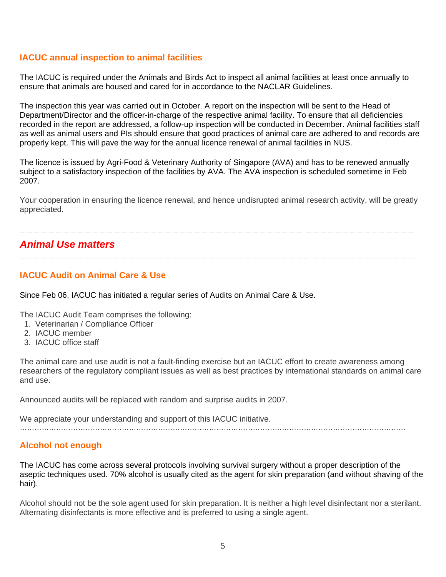# <span id="page-4-0"></span>**IACUC annual inspection to animal facilities**

The IACUC is required under the Animals and Birds Act to inspect all animal facilities at least once annually to ensure that animals are housed and cared for in accordance to the NACLAR Guidelines.

The inspection this year was carried out in October. A report on the inspection will be sent to the Head of Department/Director and the officer-in-charge of the respective animal facility. To ensure that all deficiencies recorded in the report are addressed, a follow-up inspection will be conducted in December. Animal facilities staff as well as animal users and PIs should ensure that good practices of animal care are adhered to and records are properly kept. This will pave the way for the annual licence renewal of animal facilities in NUS.

The licence is issued by Agri-Food & Veterinary Authority of Singapore (AVA) and has to be renewed annually subject to a satisfactory inspection of the facilities by AVA. The AVA inspection is scheduled sometime in Feb 2007.

Your cooperation in ensuring the licence renewal, and hence undisrupted animal research activity, will be greatly appreciated.

**\_ \_ \_ \_ \_ \_ \_ \_ \_ \_ \_ \_ \_ \_ \_ \_ \_ \_ \_ \_ \_ \_ \_ \_ \_ \_ \_ \_ \_ \_ \_ \_ \_ \_ \_ \_ \_ \_ \_ \_ \_ \_ \_ \_ \_ \_ \_ \_ \_ \_ \_ \_ \_ \_**

# *Animal Use matters*

# **IACUC Audit on Animal Care & Use**

Since Feb 06, IACUC has initiated a regular series of Audits on Animal Care & Use.

The IACUC Audit Team comprises the following:

- 1. Veterinarian / Compliance Officer
- 2. IACUC member
- 3. IACUC office staff

The animal care and use audit is not a fault-finding exercise but an IACUC effort to create awareness among researchers of the regulatory compliant issues as well as best practices by international standards on animal care and use.

Announced audits will be replaced with random and surprise audits in 2007.

We appreciate your understanding and support of this IACUC initiative. ……………………………………………………………………………………………………………………………………………

# **Alcohol not enough**

The IACUC has come across several protocols involving survival surgery without a proper description of the aseptic techniques used. 70% alcohol is usually cited as the agent for skin preparation (and without shaving of the hair).

Alcohol should not be the sole agent used for skin preparation. It is neither a high level disinfectant nor a sterilant. Alternating disinfectants is more effective and is preferred to using a single agent.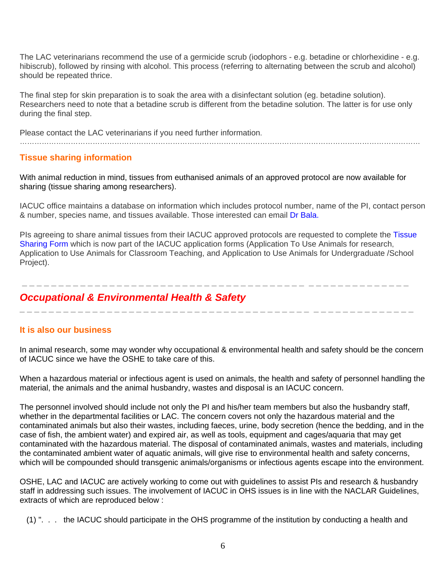<span id="page-5-0"></span>The LAC veterinarians recommend the use of a germicide scrub (iodophors - e.g. betadine or chlorhexidine - e.g. hibiscrub), followed by rinsing with alcohol. This process (referring to alternating between the scrub and alcohol) should be repeated thrice.

The final step for skin preparation is to soak the area with a disinfectant solution (eg. betadine solution). Researchers need to note that a betadine scrub is different from the betadine solution. The latter is for use only during the final step.

Please contact the LAC veterinarians if you need further information.

# **Tissue sharing information**

With animal reduction in mind, tissues from euthanised animals of an approved protocol are now available for sharing (tissue sharing among researchers).

…………………………………………………………………………………………………………………………………………………

IACUC office maintains a database on information which includes protocol number, name of the PI, contact person & number, species name, and tissues available. Those interested can email [Dr Bala.](mailto:olsbd@nus.edu.sg) 

PIs agreeing to share animal tissues from their IACUC approved protocols are requested to complete the [Tissue](http://www.nus.edu.sg/iacuc/iacuc_forms/use_animal_tissues/tissha.doc)  [Sharing Form](http://www.nus.edu.sg/iacuc/iacuc_forms/use_animal_tissues/tissha.doc) which is now part of the IACUC application forms (Application To Use Animals for research, Application to Use Animals for Classroom Teaching, and Application to Use Animals for Undergraduate /School Project).

 **\_ \_ \_ \_ \_ \_ \_ \_ \_ \_ \_ \_ \_ \_ \_ \_ \_ \_ \_ \_ \_ \_ \_ \_ \_ \_ \_ \_ \_ \_ \_ \_ \_ \_ \_ \_ \_ \_ \_ \_ \_ \_ \_ \_ \_ \_ \_ \_ \_ \_ \_ \_ \_**

**\_ \_ \_ \_ \_ \_ \_ \_ \_ \_ \_ \_ \_ \_ \_ \_ \_ \_ \_ \_ \_ \_ \_ \_ \_ \_ \_ \_ \_ \_ \_ \_ \_ \_ \_ \_ \_ \_ \_ \_ \_ \_ \_ \_ \_ \_ \_ \_ \_ \_ \_ \_ \_ \_**

# *Occupational & Environmental Health & Safety*

# **It is also our business**

In animal research, some may wonder why occupational & environmental health and safety should be the concern of IACUC since we have the OSHE to take care of this.

When a hazardous material or infectious agent is used on animals, the health and safety of personnel handling the material, the animals and the animal husbandry, wastes and disposal is an IACUC concern.

The personnel involved should include not only the PI and his/her team members but also the husbandry staff, whether in the departmental facilities or LAC. The concern covers not only the hazardous material and the contaminated animals but also their wastes, including faeces, urine, body secretion (hence the bedding, and in the case of fish, the ambient water) and expired air, as well as tools, equipment and cages/aquaria that may get contaminated with the hazardous material. The disposal of contaminated animals, wastes and materials, including the contaminated ambient water of aquatic animals, will give rise to environmental health and safety concerns, which will be compounded should transgenic animals/organisms or infectious agents escape into the environment.

OSHE, LAC and IACUC are actively working to come out with guidelines to assist PIs and research & husbandry staff in addressing such issues. The involvement of IACUC in OHS issues is in line with the NACLAR Guidelines, extracts of which are reproduced below :

(1) ". . . the IACUC should participate in the OHS programme of the institution by conducting a health and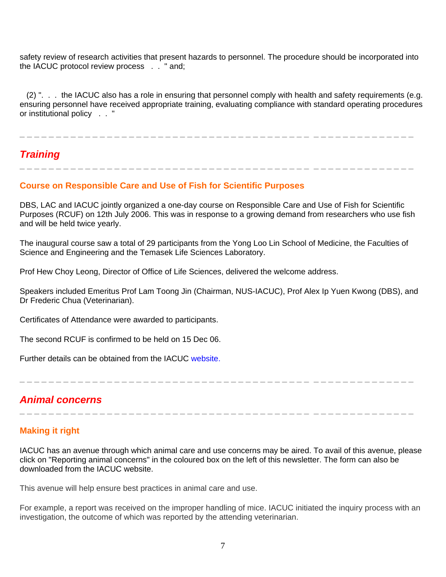<span id="page-6-0"></span>safety review of research activities that present hazards to personnel. The procedure should be incorporated into the IACUC protocol review process . . " and;

 (2) ". . . the IACUC also has a role in ensuring that personnel comply with health and safety requirements (e.g. ensuring personnel have received appropriate training, evaluating compliance with standard operating procedures or institutional policy . . "

**\_ \_ \_ \_ \_ \_ \_ \_ \_ \_ \_ \_ \_ \_ \_ \_ \_ \_ \_ \_ \_ \_ \_ \_ \_ \_ \_ \_ \_ \_ \_ \_ \_ \_ \_ \_ \_ \_ \_ \_ \_ \_ \_ \_ \_ \_ \_ \_ \_ \_ \_ \_ \_ \_**

**\_ \_ \_ \_ \_ \_ \_ \_ \_ \_ \_ \_ \_ \_ \_ \_ \_ \_ \_ \_ \_ \_ \_ \_ \_ \_ \_ \_ \_ \_ \_ \_ \_ \_ \_ \_ \_ \_ \_ \_ \_ \_ \_ \_ \_ \_ \_ \_ \_ \_ \_ \_ \_ \_**

# *Training*

# **Course on Responsible Care and Use of Fish for Scientific Purposes**

DBS, LAC and IACUC jointly organized a one-day course on Responsible Care and Use of Fish for Scientific Purposes (RCUF) on 12th July 2006. This was in response to a growing demand from researchers who use fish and will be held twice yearly.

The inaugural course saw a total of 29 participants from the Yong Loo Lin School of Medicine, the Faculties of Science and Engineering and the Temasek Life Sciences Laboratory.

Prof Hew Choy Leong, Director of Office of Life Sciences, delivered the welcome address.

Speakers included Emeritus Prof Lam Toong Jin (Chairman, NUS-IACUC), Prof Alex Ip Yuen Kwong (DBS), and Dr Frederic Chua (Veterinarian).

Certificates of Attendance were awarded to participants.

The second RCUF is confirmed to be held on 15 Dec 06.

Further details can be obtained from the IACUC [website.](http://www.nus.edu.sg/iacuc/animal_use_lac_training_course.shtml)

**\_ \_ \_ \_ \_ \_ \_ \_ \_ \_ \_ \_ \_ \_ \_ \_ \_ \_ \_ \_ \_ \_ \_ \_ \_ \_ \_ \_ \_ \_ \_ \_ \_ \_ \_ \_ \_ \_ \_ \_ \_ \_ \_ \_ \_ \_ \_ \_ \_ \_ \_ \_ \_ \_**

**\_ \_ \_ \_ \_ \_ \_ \_ \_ \_ \_ \_ \_ \_ \_ \_ \_ \_ \_ \_ \_ \_ \_ \_ \_ \_ \_ \_ \_ \_ \_ \_ \_ \_ \_ \_ \_ \_ \_ \_ \_ \_ \_ \_ \_ \_ \_ \_ \_ \_ \_ \_ \_ \_**

# *Animal concerns*

# **Making it right**

IACUC has an avenue through which animal care and use concerns may be aired. To avail of this avenue, please click on "Reporting animal concerns" in the coloured box on the left of this newsletter. The form can also be downloaded from the IACUC website.

This avenue will help ensure best practices in animal care and use.

For example, a report was received on the improper handling of mice. IACUC initiated the inquiry process with an investigation, the outcome of which was reported by the attending veterinarian.